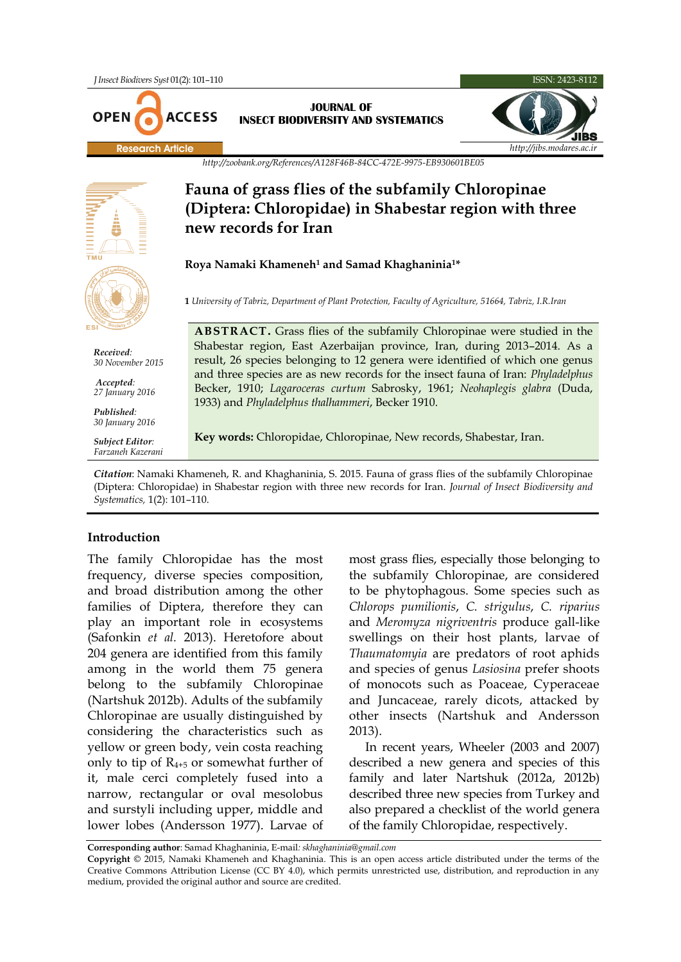

## **Fauna of grass flies of the subfamily Chloropinae (Diptera: Chloropidae) in Shabestar region with three new records for Iran**

## **Roya Namaki Khameneh<sup>1</sup> and Samad Khaghaninia1\***

**1** *University of Tabriz, Department of Plant Protection, Faculty of Agriculture, 51664, Tabriz, I.R.Iran*

**ABSTRACT.** Grass flies of the subfamily Chloropinae were studied in the Shabestar region, East Azerbaijan province, Iran, during 2013–2014. As a result, 26 species belonging to 12 genera were identified of which one genus and three species are as new records for the insect fauna of Iran: *Phyladelphus* Becker, 1910; *Lagaroceras curtum* Sabrosky, 1961; *Neohaplegis glabra* (Duda, 1933) and *Phyladelphus thalhammeri*, Becker 1910.

**Key words:** Chloropidae, Chloropinae, New records, Shabestar, Iran.

*Citation*: Namaki Khameneh, R. and Khaghaninia, S. 2015. Fauna of grass flies of the subfamily Chloropinae (Diptera: Chloropidae) in Shabestar region with three new records for Iran. *Journal of Insect Biodiversity and Systematics,* 1(2): 101–110.

## **Introduction**

The family Chloropidae has the most frequency, diverse species composition, and broad distribution among the other families of Diptera, therefore they can play an important role in ecosystems (Safonkin *et al.* 2013). Heretofore about 204 genera are identified from this family among in the world them 75 genera belong to the subfamily Chloropinae (Nartshuk 2012b). Adults of the subfamily Chloropinae are usually distinguished by considering the characteristics such as yellow or green body, vein costa reaching only to tip of  $R_{4+5}$  or somewhat further of it, male cerci completely fused into a narrow, rectangular or oval mesolobus and surstyli including upper, middle and lower lobes (Andersson 1977). Larvae of

most grass flies, especially those belonging to the subfamily Chloropinae, are considered to be phytophagous. Some species such as *Chlorops pumilionis*, *C. strigulus*, *C. riparius*  and *Meromyza nigriventris* produce gall-like swellings on their host plants, larvae of *Thaumatomyia* are predators of root aphids and species of genus *Lasiosina* prefer shoots of monocots such as Poaceae, Cyperaceae and Juncaceae, rarely dicots, attacked by other insects (Nartshuk and Andersson 2013).

In recent years, Wheeler (2003 and 2007) described a new genera and species of this family and later Nartshuk (2012a, 2012b) described three new species from Turkey and also prepared a checklist of the world genera of the family Chloropidae, respectively.

**Corresponding author**: Samad Khaghaninia, E-mail*: [skhaghaninia@gmail.com](mailto:skhaghaninia@gmail.com)*

**Copyright** © 2015, Namaki Khameneh and Khaghaninia. This is an open access article distributed under the terms of the Creative Commons Attribution License (CC BY 4.0), which permits unrestricted use, distribution, and reproduction in any medium, provided the original author and source are credited.



*Received: 30 November 2015*

*Accepted: 27 January 2016*

*Published: 30 January 2016*

*Subject Editor: Farzaneh Kazerani*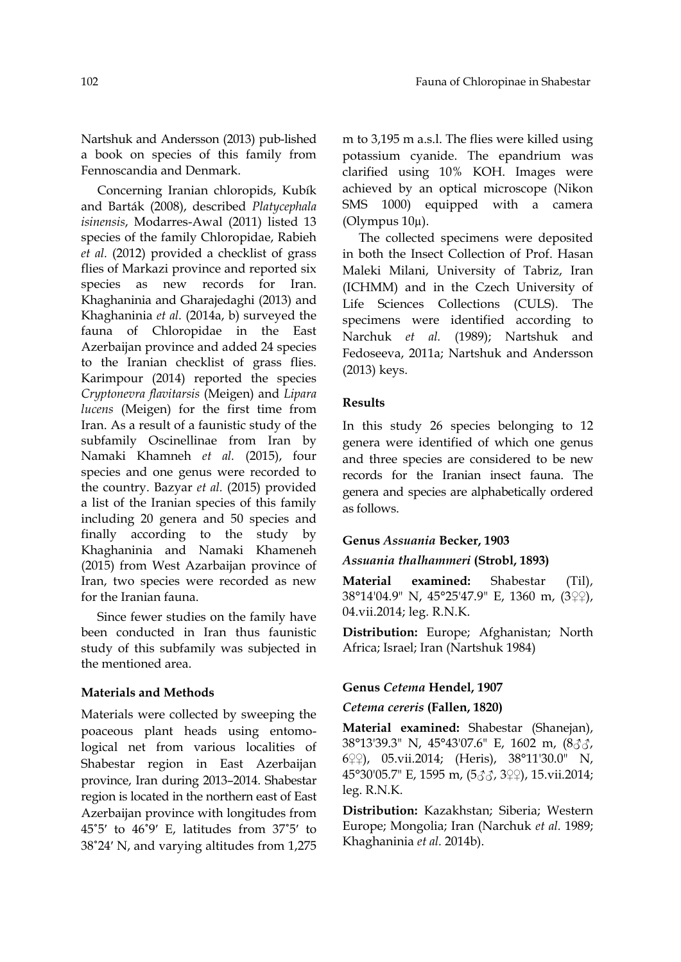Nartshuk and Andersson (2013) pub-lished a book on species of this family from Fennoscandia and Denmark.

Concerning Iranian chloropids, Kubík and Barták (2008), described *Platycephala isinensis*, Modarres-Awal (2011) listed 13 species of the family Chloropidae, Rabieh *et al.* (2012) provided a checklist of grass flies of Markazi province and reported six species as new records for Iran. Khaghaninia and Gharajedaghi (2013) and Khaghaninia *et al.* (2014a, b) surveyed the fauna of Chloropidae in the East Azerbaijan province and added 24 species to the Iranian checklist of grass flies. Karimpour (2014) reported the species *Cryptonevra flavitarsis* (Meigen) and *Lipara lucens* (Meigen) for the first time from Iran. As a result of a faunistic study of the subfamily Oscinellinae from Iran by Namaki Khamneh *et al.* (2015), four species and one genus were recorded to the country. Bazyar *et al.* (2015) provided a list of the Iranian species of this family including 20 genera and 50 species and finally according to the study by Khaghaninia and Namaki Khameneh (2015) from West Azarbaijan province of Iran, two species were recorded as new for the Iranian fauna.

Since fewer studies on the family have been conducted in Iran thus faunistic study of this subfamily was subjected in the mentioned area.

#### **Materials and Methods**

Materials were collected by sweeping the poaceous plant heads using entomological net from various localities of Shabestar region in East Azerbaijan province, Iran during 2013–2014. Shabestar region is located in the northern east of East Azerbaijan province with longitudes from 45˚5ʹ to 46˚9ʹ E, latitudes from 37˚5ʹ to 38˚24ʹ N, and varying altitudes from 1,275 m to 3,195 m a.s.l. The flies were killed using potassium cyanide. The epandrium was clarified using 10% KOH. Images were achieved by an optical microscope (Nikon SMS 1000) equipped with a camera (Olympus 10µ).

The collected specimens were deposited in both the Insect Collection of Prof. Hasan Maleki Milani, University of Tabriz, Iran (ICHMM) and in the Czech University of Life Sciences Collections (CULS). The specimens were identified according to Narchuk *et al.* (1989); Nartshuk and Fedoseeva, 2011a; Nartshuk and Andersson (2013) keys.

## **Results**

In this study 26 species belonging to 12 genera were identified of which one genus and three species are considered to be new records for the Iranian insect fauna. The genera and species are alphabetically ordered as follows.

#### **Genus** *Assuania* **Becker, 1903**

#### *Assuania thalhammeri* **(Strobl, 1893)**

**Material examined:** Shabestar (Til), 38°14'04.9" N, 45°25'47.9" E, 1360 m, (3♀♀), 04.vii.2014; leg. R.N.K.

**Distribution:** Europe; Afghanistan; North Africa; Israel; Iran (Nartshuk 1984)

#### **Genus** *Cetema* **Hendel, 1907**

#### *Cetema cereris* **(Fallen, 1820)**

**Material examined:** Shabestar (Shanejan), 38°13'39.3" N, 45°43'07.6" E, 1602 m, (8♂♂, 6♀♀), 05.vii.2014; (Heris), 38°11'30.0" N, 45°30'05.7" E, 1595 m, (5♂♂, 3♀♀), 15.vii.2014; leg. R.N.K.

**Distribution:** Kazakhstan; Siberia; Western Europe; Mongolia; Iran (Narchuk *et al.* 1989; Khaghaninia *et al.* 2014b).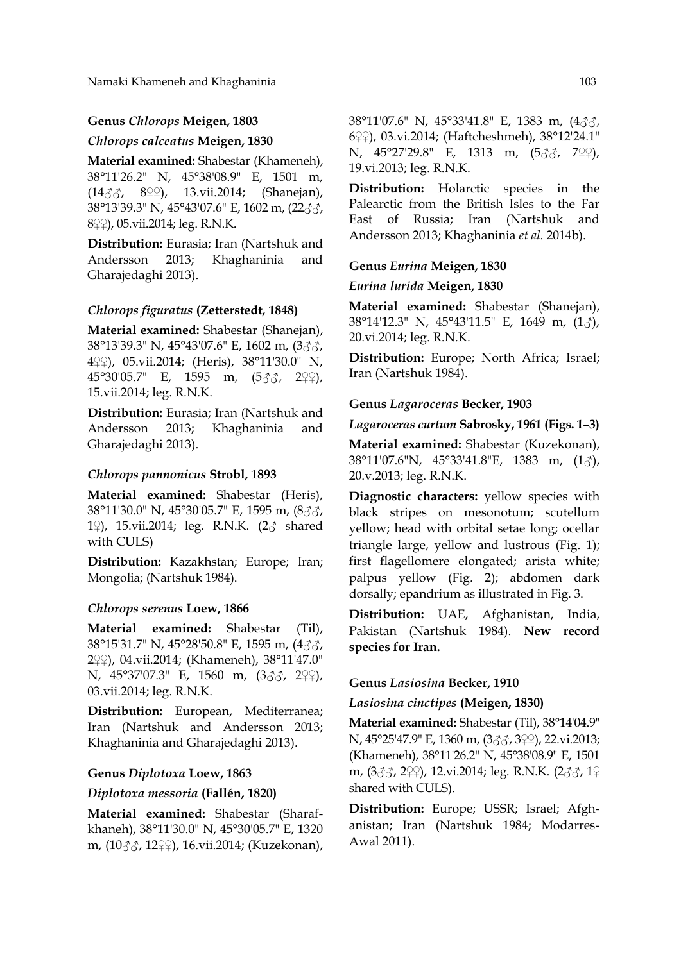## **Genus** *Chlorops* **Meigen, 1803**

#### *Chlorops calceatus* **Meigen, 1830**

**Material examined:** Shabestar (Khameneh), 38°11'26.2" N, 45°38'08.9" E, 1501 m, (14♂♂, 8♀♀), 13.vii.2014; (Shanejan), 38°13'39.3" N, 45°43'07.6" E, 1602 m, (22♂♂, 8♀♀), 05.vii.2014; leg. R.N.K.

**Distribution:** Eurasia; Iran (Nartshuk and Andersson 2013; Khaghaninia and Gharajedaghi 2013).

## *Chlorops figuratus* **(Zetterstedt***,* **1848)**

**Material examined:** Shabestar (Shanejan), 38°13'39.3" N, 45°43'07.6" E, 1602 m, (3♂♂, 4♀♀), 05.vii.2014; (Heris), 38°11'30.0" N, 45°30'05.7" E, 1595 m, (5♂♂, 2♀♀), 15.vii.2014; leg. R.N.K.

**Distribution:** Eurasia; Iran (Nartshuk and Andersson 2013; Khaghaninia and Gharajedaghi 2013).

#### *Chlorops pannonicus* **Strobl, 1893**

**Material examined:** Shabestar (Heris), 38°11'30.0" N, 45°30'05.7" E, 1595 m, (8♂♂, 1♀), 15.vii.2014; leg. R.N.K. (2♂ shared with CULS)

**Distribution:** Kazakhstan; Europe; Iran; Mongolia; (Nartshuk 1984).

#### *Chlorops serenus* **Loew, 1866**

**Material examined:** Shabestar (Til), 38°15'31.7" N, 45°28'50.8" E, 1595 m, (4♂♂, 2♀♀), 04.vii.2014; (Khameneh), 38°11'47.0" N, 45°37'07.3" E, 1560 m, (3♂♂, 2♀♀), 03.vii.2014; leg. R.N.K.

**Distribution:** European, Mediterranea; Iran (Nartshuk and Andersson 2013; Khaghaninia and Gharajedaghi 2013).

#### **Genus** *Diplotoxa* **Loew, 1863**

#### *Diplotoxa messoria* **(Fallén, 1820)**

**Material examined:** Shabestar (Sharafkhaneh), 38°11'30.0" N, 45°30'05.7" E, 1320 m, (10♂♂, 12♀♀), 16.vii.2014; (Kuzekonan), 38°11'07.6" N, 45°33'41.8" E, 1383 m, (4♂♂, 6♀♀), 03.vi.2014; (Haftcheshmeh), 38°12'24.1" N, 45°27'29.8" E, 1313 m, (5♂♂, 7♀♀), 19.vi.2013; leg. R.N.K.

**Distribution:** Holarctic species in the Palearctic from the British Isles to the Far East of Russia; Iran (Nartshuk and Andersson 2013; Khaghaninia *et al.* 2014b).

#### **Genus** *Eurina* **Meigen, 1830**

#### *Eurina lurida* **Meigen, 1830**

**Material examined:** Shabestar (Shanejan), 38°14'12.3" N, 45°43'11.5" E, 1649 m, (1♂), 20.vi.2014; leg. R.N.K.

**Distribution:** Europe; North Africa; Israel; Iran (Nartshuk 1984).

#### **Genus** *Lagaroceras* **Becker, 1903**

#### *Lagaroceras curtum* **Sabrosky, 1961 (Figs. 1**–**3)**

**Material examined:** Shabestar (Kuzekonan), 38°11'07.6"N, 45°33'41.8"E, 1383 m, (1♂), 20.v.2013; leg. R.N.K.

**Diagnostic characters:** yellow species with black stripes on mesonotum; scutellum yellow; head with orbital setae long; ocellar triangle large, yellow and lustrous (Fig. 1); first flagellomere elongated; arista white; palpus yellow (Fig. 2); abdomen dark dorsally; epandrium as illustrated in Fig. 3.

**Distribution:** UAE, Afghanistan, India, Pakistan (Nartshuk 1984). **New record species for Iran.**

#### **Genus** *Lasiosina* **Becker, 1910**

#### *Lasiosina cinctipes* **(Meigen, 1830)**

**Material examined:** Shabestar (Til), 38°14'04.9" N, 45°25'47.9" E, 1360 m, (3♂♂, 3♀♀), 22.vi.2013; (Khameneh), 38°11'26.2" N, 45°38'08.9" E, 1501 m, (333, 2ººº), 12.vi.2014; leg. R.N.K. (233, 1º shared with CULS).

**Distribution:** Europe; USSR; Israel; Afghanistan; Iran (Nartshuk 1984; Modarres-Awal 2011).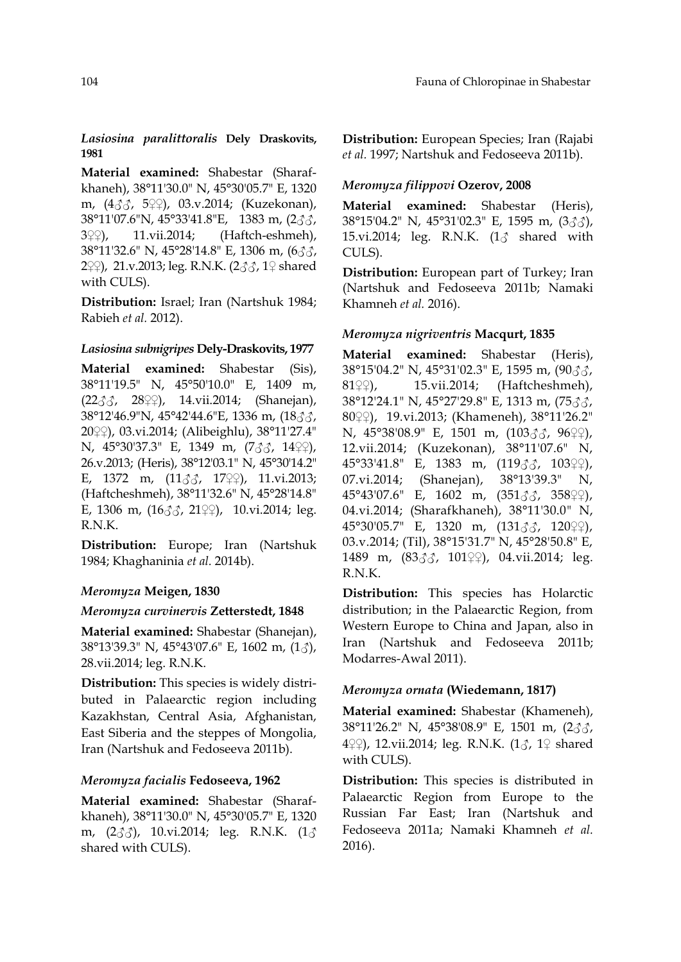## *Lasiosina paralittoralis* **Dely Draskovits, 1981**

**Material examined:** Shabestar (Sharafkhaneh), 38°11'30.0" N, 45°30'05.7" E, 1320 m, (4♂♂, 5♀♀), 03.v.2014; (Kuzekonan), 38°11'07.6"N, 45°33'41.8"E, 1383 m, (2♂♂, 3♀♀), 11.vii.2014; (Haftch-eshmeh), 38°11'32.6" N, 45°28'14.8" E, 1306 m, (6♂♂, 2♀♀), 21.v.2013; leg. R.N.K. (2♂♂, 1♀ shared with CULS).

**Distribution:** Israel; Iran (Nartshuk 1984; Rabieh *et al.* 2012).

## *Lasiosina subnigripes* **Dely-Draskovits, 1977**

**Material examined:** Shabestar (Sis), 38°11'19.5" N, 45°50'10.0" E, 1409 m,  $(22\text{AA}, 28\text{A})$ , 14.vii.2014; (Shanejan), 38°12'46.9"N, 45°42'44.6"E, 1336 m, (18♂♂, 20♀♀), 03.vi.2014; (Alibeighlu), 38°11'27.4" N, 45°30'37.3" E, 1349 m, (733, 14♀♀), 26.v.2013; (Heris), 38°12'03.1" N, 45°30'14.2" E, 1372 m,  $(11\text{AA}, 17\text{A})$ , 11.vi.2013; (Haftcheshmeh), 38°11'32.6" N, 45°28'14.8" E, 1306 m,  $(16\sqrt{3})$ , 21 $\sqrt{2}$ ), 10.vi.2014; leg. R.N.K.

**Distribution:** Europe; Iran (Nartshuk 1984; Khaghaninia *et al.* 2014b).

## *Meromyza* **Meigen, 1830**

#### *Meromyza curvinervis* **Zetterstedt, 1848**

**Material examined:** Shabestar (Shanejan), 38°13'39.3" N, 45°43'07.6" E, 1602 m, (1♂), 28.vii.2014; leg. R.N.K.

**Distribution:** This species is widely distributed in Palaearctic region including Kazakhstan, Central Asia, Afghanistan, East Siberia and the steppes of Mongolia, Iran (Nartshuk and Fedoseeva 2011b).

### *Meromyza facialis* **Fedoseeva, 1962**

**Material examined:** Shabestar (Sharafkhaneh), 38°11'30.0" N, 45°30'05.7" E, 1320 m, (2♂♂), 10.vi.2014; leg. R.N.K. (1♂ shared with CULS).

**Distribution:** European Species; Iran (Rajabi *et al.* 1997; Nartshuk and Fedoseeva 2011b).

### *Meromyza filippovi* **Ozerov, 2008**

**Material examined:** Shabestar (Heris), 38°15'04.2" N, 45°31'02.3" E, 1595 m, (3♂♂), 15.vi.2014; leg. R.N.K. (1♂ shared with CULS).

**Distribution:** European part of Turkey; Iran (Nartshuk and Fedoseeva 2011b; Namaki Khamneh *et al.* 2016).

#### *Meromyza nigriventris* **Macqurt, 1835**

**Material examined:** Shabestar (Heris), 38°15'04.2" N, 45°31'02.3" E, 1595 m, (90♂♂, 81\\varep. 15.vii.2014; (Haftcheshmeh), 38°12'24.1" N, 45°27'29.8" E, 1313 m, (75♂♂, 80♀♀), 19.vi.2013; (Khameneh), 38°11'26.2" N, 45°38'08.9" E, 1501 m, (103♂♂, 96♀♀), 12.vii.2014; (Kuzekonan), 38°11'07.6" N, 45°33'41.8" E, 1383 m, (119♂♂, 103♀♀), 07.vi.2014; (Shanejan), 38°13'39.3" N, 45°43'07.6" E, 1602 m, (351♂♂, 358♀♀), 04.vi.2014; (Sharafkhaneh), 38°11'30.0" N, 45°30'05.7" E, 1320 m, (131♂♂, 120♀♀), 03.v.2014; (Til), 38°15'31.7" N, 45°28'50.8" E, 1489 m, (83√3, 101°), 04.vii.2014; leg. R.N.K.

**Distribution:** This species has Holarctic distribution; in the Palaearctic Region, from Western Europe to China and Japan, also in Iran (Nartshuk and Fedoseeva 2011b; Modarres-Awal 2011).

## *Meromyza ornata* **(Wiedemann, 1817)**

**Material examined:** Shabestar (Khameneh), 38°11'26.2" N, 45°38'08.9" E, 1501 m, (2♂♂, 4♀♀), 12.vii.2014; leg. R.N.K. (1♂, 1♀ shared with CULS).

**Distribution:** This species is distributed in Palaearctic Region from Europe to the Russian Far East; Iran (Nartshuk and Fedoseeva 2011a; Namaki Khamneh *et al.* 2016).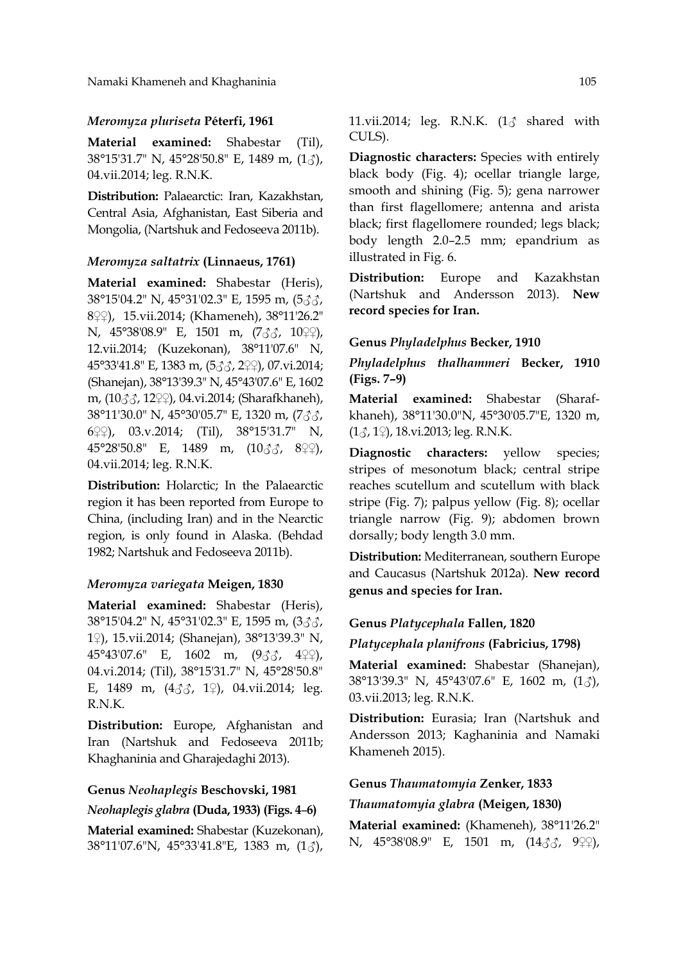Namaki Khameneh and Khaghaninia 105

## *Meromyza pluriseta* **Péterfi, 1961**

**Material examined:** Shabestar (Til), 38°15'31.7" N, 45°28'50.8" E, 1489 m, (1♂), 04.vii.2014; leg. R.N.K.

**Distribution:** Palaearctic: Iran, Kazakhstan, Central Asia, Afghanistan, East Siberia and Mongolia, (Nartshuk and Fedoseeva 2011b).

## *Meromyza saltatrix* **(Linnaeus, 1761)**

**Material examined:** Shabestar (Heris), 38°15'04.2" N, 45°31'02.3" E, 1595 m, (5♂♂, 8♀♀), 15.vii.2014; (Khameneh), 38°11'26.2" N, 45°38'08.9" E, 1501 m, (7♂♂, 10♀♀), 12.vii.2014; (Kuzekonan), 38°11'07.6" N, 45°33'41.8" E, 1383 m, (5♂♂, 2♀♀), 07.vi.2014; (Shanejan), 38°13'39.3" N, 45°43'07.6" E, 1602 m, (10♂♂, 12♀♀), 04.vi.2014; (Sharafkhaneh), 38°11'30.0" N, 45°30'05.7" E, 1320 m, (7♂♂, 6♀♀), 03.v.2014; (Til), 38°15'31.7" N, 45°28'50.8" E, 1489 m, (10♂♂, 8♀♀), 04.vii.2014; leg. R.N.K.

**Distribution:** Holarctic; In the Palaearctic region it has been reported from Europe to China, (including Iran) and in the Nearctic region, is only found in Alaska. (Behdad 1982; Nartshuk and Fedoseeva 2011b).

#### *Meromyza variegata* **Meigen, 1830**

**Material examined:** Shabestar (Heris), 38°15'04.2" N, 45°31'02.3" E, 1595 m, (3♂♂, 1♀), 15.vii.2014; (Shanejan), 38°13'39.3" N, 45°43'07.6" E, 1602 m, (9♂♂, 4♀♀), 04.vi.2014; (Til), 38°15'31.7" N, 45°28'50.8" E, 1489 m,  $(4\text{AA}, 1\text{A})$ , 04.vii.2014; leg. R.N.K.

**Distribution:** Europe, Afghanistan and Iran (Nartshuk and Fedoseeva 2011b; Khaghaninia and Gharajedaghi 2013).

## **Genus** *Neohaplegis* **Beschovski, 1981**

## *Neohaplegis glabra* **(Duda, 1933) (Figs. 4**–**6)**

**Material examined:** Shabestar (Kuzekonan), 38°11'07.6"N, 45°33'41.8"E, 1383 m, (1♂), 11.vii.2014; leg. R.N.K.  $(1<sub>0</sub> <sup>3</sup>)$  shared with CULS).

**Diagnostic characters:** Species with entirely black body (Fig. 4); ocellar triangle large, smooth and shining (Fig. 5); gena narrower than first flagellomere; antenna and arista black; first flagellomere rounded; legs black; body length 2.0–2.5 mm; epandrium as illustrated in Fig. 6.

**Distribution:** Europe and Kazakhstan (Nartshuk and Andersson 2013). **New record species for Iran.**

## **Genus** *Phyladelphus* **Becker, 1910**

*Phyladelphus thalhammeri* **Becker, 1910 (Figs. 7–9)**

**Material examined:** Shabestar (Sharafkhaneh), 38°11'30.0"N, 45°30'05.7"E, 1320 m, (1♂, 1♀), 18.vi.2013; leg. R.N.K.

**Diagnostic characters:** yellow species; stripes of mesonotum black; central stripe reaches scutellum and scutellum with black stripe (Fig. 7); palpus yellow (Fig. 8); ocellar triangle narrow (Fig. 9); abdomen brown dorsally; body length 3.0 mm.

**Distribution:** Mediterranean, southern Europe and Caucasus (Nartshuk 2012a). **New record genus and species for Iran.**

## **Genus** *Platycephala* **Fallen, 1820**

*Platycephala planifrons* **(Fabricius, 1798)**

**Material examined:** Shabestar (Shanejan), 38°13'39.3" N, 45°43'07.6" E, 1602 m, (1♂), 03.vii.2013; leg. R.N.K.

**Distribution:** Eurasia; Iran (Nartshuk and Andersson 2013; Kaghaninia and Namaki Khameneh 2015).

## **Genus** *Thaumatomyia* **Zenker, 1833**

## *Thaumatomyia glabra* **(Meigen, 1830)**

**Material examined:** (Khameneh), 38°11'26.2" N, 45°38'08.9" E, 1501 m, (14♂♂, 9♀♀),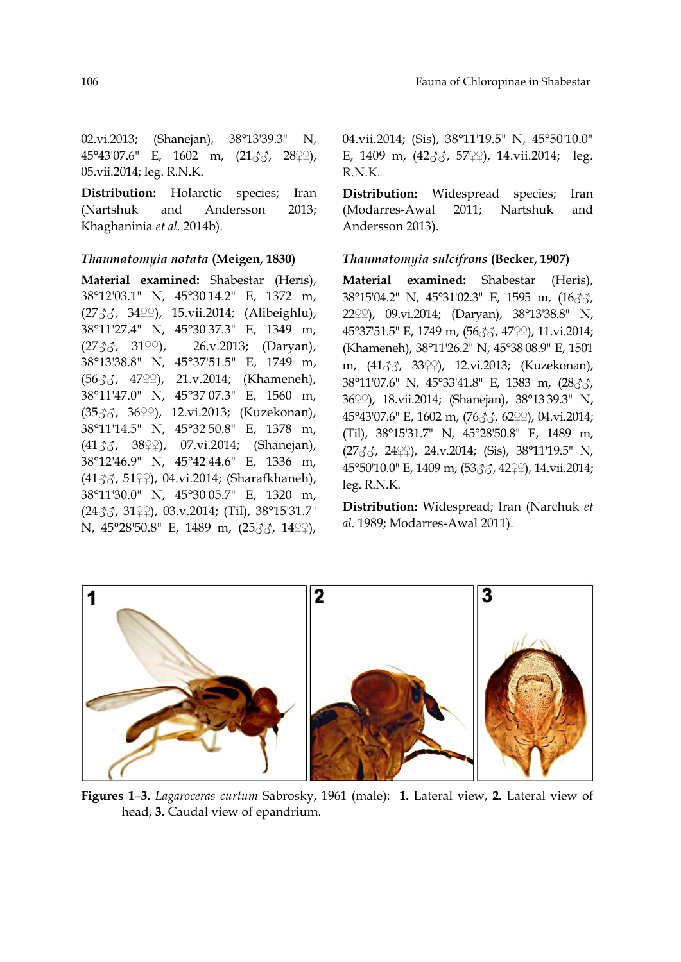02.vi.2013; (Shanejan), 38°13'39.3" N, 45°43'07.6" E, 1602 m, (21♂♂, 28♀♀), 05.vii.2014; leg. R.N.K.

**Distribution:** Holarctic species; Iran (Nartshuk and Andersson 2013; Khaghaninia *et al.* 2014b).

## *Thaumatomyia notata* **(Meigen, 1830)**

**Material examined:** Shabestar (Heris), 38°12'03.1" N, 45°30'14.2" E, 1372 m, (27♂♂, 34♀♀), 15.vii.2014; (Alibeighlu), 38°11'27.4" N, 45°30'37.3" E, 1349 m,  $(27\text{AA}, 31\text{A})$ , 26.v.2013; (Daryan), 38°13'38.8" N, 45°37'51.5" E, 1749 m, (56♂♂, 47♀♀), 21.v.2014; (Khameneh), 38°11'47.0" N, 45°37'07.3" E, 1560 m, (35♂♂, 36♀♀), 12.vi.2013; (Kuzekonan), 38°11'14.5" N, 45°32'50.8" E, 1378 m,  $(41\text{AA}, 38\text{A})$ , 07.vi.2014; (Shanejan), 38°12'46.9" N, 45°42'44.6" E, 1336 m, (41♂♂, 51♀♀), 04.vi.2014; (Sharafkhaneh), 38°11'30.0" N, 45°30'05.7" E, 1320 m, (24♂♂, 31♀♀), 03.v.2014; (Til), 38°15'31.7" N, 45°28'50.8" E, 1489 m, (25♂♂, 14♀♀), 04.vii.2014; (Sis), 38°11'19.5" N, 45°50'10.0" E, 1409 m,  $(42\text{AA}, 57\text{A})$ , 14.vii.2014; leg. R.N.K.

**Distribution:** Widespread species; Iran (Modarres-Awal 2011; Nartshuk and Andersson 2013).

## *Thaumatomyia sulcifrons* **(Becker, 1907)**

**Material examined:** Shabestar (Heris), 38°15'04.2" N, 45°31'02.3" E, 1595 m, (16♂♂, 22♀♀), 09.vi.2014; (Daryan), 38°13'38.8" N, 45°37'51.5" E, 1749 m, (56♂♂, 47♀♀), 11.vi.2014; (Khameneh), 38°11'26.2" N, 45°38'08.9" E, 1501 m, (41♂♂, 33♀♀), 12.vi.2013; (Kuzekonan), 38°11'07.6" N, 45°33'41.8" E, 1383 m, (28♂♂, 36♀♀), 18.vii.2014; (Shanejan), 38°13'39.3" N, 45°43'07.6" E, 1602 m, (76♂♂, 62♀♀), 04.vi.2014; (Til), 38°15'31.7" N, 45°28'50.8" E, 1489 m, (27♂♂, 24♀♀), 24.v.2014; (Sis), 38°11'19.5" N, 45°50'10.0" E, 1409 m, (53♂♂, 42♀♀), 14.vii.2014; leg. R.N.K.

**Distribution:** Widespread; Iran (Narchuk *et al.* 1989; Modarres-Awal 2011).



**Figures 1**–**3.** *Lagaroceras curtum* Sabrosky, 1961 (male): **1.** Lateral view, **2.** Lateral view of head, **3.** Caudal view of epandrium.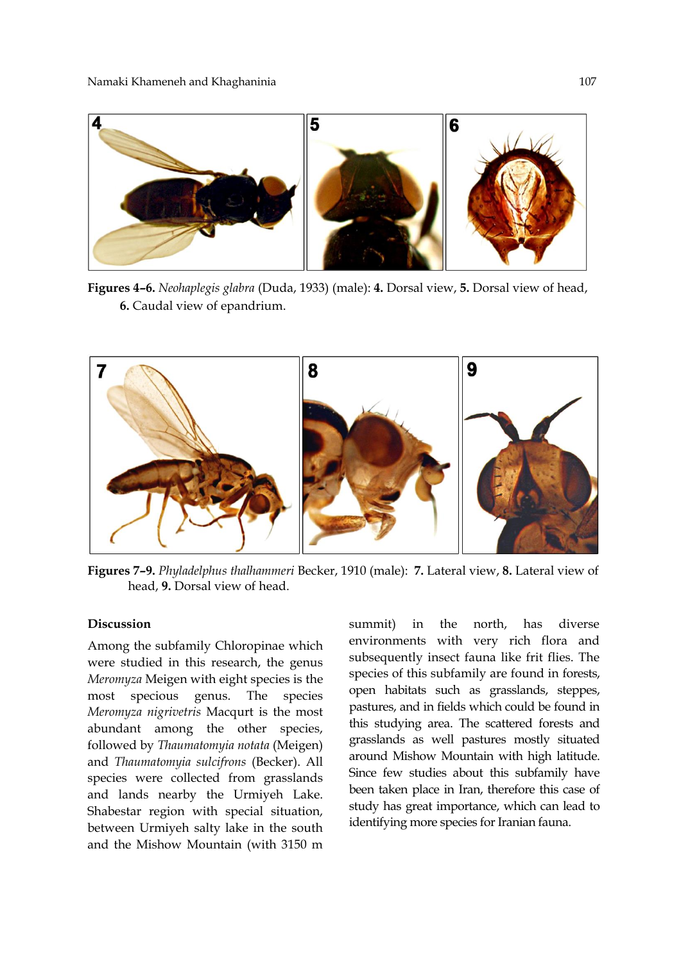

**Figures 4–6.** *Neohaplegis glabra* (Duda, 1933) (male): **4.** Dorsal view, **5.** Dorsal view of head, **6.** Caudal view of epandrium.



**Figures 7–9.** *Phyladelphus thalhammeri* Becker, 1910 (male): **7.** Lateral view, **8.** Lateral view of head, **9.** Dorsal view of head.

## **Discussion**

Among the subfamily Chloropinae which were studied in this research, the genus *Meromyza* Meigen with eight species is the most specious genus. The species *Meromyza nigrivetris* Macqurt is the most abundant among the other species, followed by *Thaumatomyia notata* (Meigen) and *Thaumatomyia sulcifrons* (Becker). All species were collected from grasslands and lands nearby the Urmiyeh Lake. Shabestar region with special situation, between Urmiyeh salty lake in the south and the Mishow Mountain (with 3150 m summit) in the north, has diverse environments with very rich flora and subsequently insect fauna like frit flies. The species of this subfamily are found in forests, open habitats such as grasslands, steppes, pastures, and in fields which could be found in this studying area. The scattered forests and grasslands as well pastures mostly situated around Mishow Mountain with high latitude. Since few studies about this subfamily have been taken place in Iran, therefore this case of study has great importance, which can lead to identifying more species for Iranian fauna.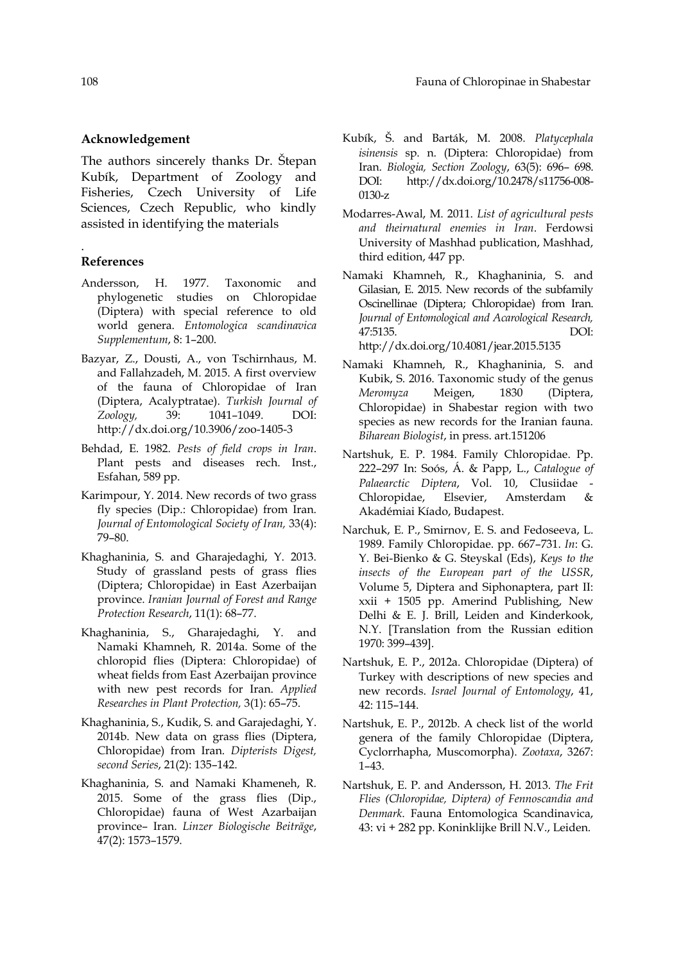## **Acknowledgement**

The authors sincerely thanks Dr. Štepan Kubík, Department of Zoology and Fisheries, Czech University of Life Sciences, Czech Republic, who kindly assisted in identifying the materials

## **References**

.

- Andersson, H. 1977. Taxonomic and phylogenetic studies on Chloropidae (Diptera) with special reference to old world genera. *Entomologica scandinavica Supplementum*, 8: 1–200.
- Bazyar, Z., Dousti, A., von Tschirnhaus, M. and Fallahzadeh, M. 2015. A first overview of the fauna of Chloropidae of Iran (Diptera, Acalyptratae). *Turkish Journal of Zoology,* 39: 1041–1049. DOI: http://dx.doi.org/10.3906/zoo-1405-3
- Behdad, E. 1982. *Pests of field crops in Iran*. Plant pests and diseases rech. Inst., Esfahan, 589 pp.
- Karimpour, Y. 2014. New records of two grass fly species (Dip.: Chloropidae) from Iran. *Journal of Entomological Society of Iran,* 33(4): 79–80.
- Khaghaninia, S. and Gharajedaghi, Y. 2013. Study of grassland pests of grass flies (Diptera; Chloropidae) in East Azerbaijan province. *Iranian Journal of Forest and Range Protection Research*, 11(1): 68–77.
- Khaghaninia, S., Gharajedaghi, Y. and Namaki Khamneh, R. 2014a. Some of the chloropid flies (Diptera: Chloropidae) of wheat fields from East Azerbaijan province with new pest records for Iran. *Applied Researches in Plant Protection,* 3(1): 65–75.
- Khaghaninia, S., Kudik, S. and Garajedaghi, Y. 2014b. New data on grass flies (Diptera, Chloropidae) from Iran. *Dipterists Digest, second Series*, 21(2): 135–142.
- Khaghaninia, S. and Namaki Khameneh, R. 2015. Some of the grass flies (Dip., Chloropidae) fauna of West Azarbaijan province– Iran. *Linzer Biologische Beiträge*, 47(2): 1573–1579.
- Kubík, Š. and Barták, M. 2008. *Platycephala isinensis* sp. n. (Diptera: Chloropidae) from Iran. *Biologia, Section Zoology*, 63(5): 696– 698. DOI: http://dx.doi.org/10.2478/s11756-008- 0130-z
- Modarres-Awal, M. 2011. *List of agricultural pests and theirnatural enemies in Iran*. Ferdowsi University of Mashhad publication, Mashhad, third edition, 447 pp.
- Namaki Khamneh, R., Khaghaninia, S. and Gilasian, E. 2015. New records of the subfamily Oscinellinae (Diptera; Chloropidae) from Iran. *Journal of Entomological and Acarological Research,*  47:5135. DOI: http://dx.doi.org/10.4081/jear.2015.5135
- Namaki Khamneh, R., Khaghaninia, S. and Kubik, S. 2016. Taxonomic study of the genus *Meromyza* Meigen, 1830 (Diptera, Chloropidae) in Shabestar region with two species as new records for the Iranian fauna. *Biharean Biologist*, in press. art.151206
- Nartshuk, E. P. 1984. Family Chloropidae. Pp. 222–297 In: Soós, Á. & Papp, L., *Catalogue of Palaearctic Diptera*, Vol. 10, Clusiidae - Chloropidae, Elsevier, Amsterdam & Akadémiai Kíado, Budapest.
- Narchuk, E. P., Smirnov, E. S. and Fedoseeva, L. 1989. Family Chloropidae. pp. 667–731. *In*: G. Y. Bei-Bienko & G. Steyskal (Eds), *Keys to the insects of the European part of the USSR*, Volume 5, Diptera and Siphonaptera, part II: xxii + 1505 pp. Amerind Publishing, New Delhi & E. J. Brill, Leiden and Kinderkook, N.Y. [Translation from the Russian edition 1970: 399–439].
- Nartshuk, E. P., 2012a. Chloropidae (Diptera) of Turkey with descriptions of new species and new records. *Israel Journal of Entomology*, 41, 42: 115–144.
- Nartshuk, E. P., 2012b. A check list of the world genera of the family Chloropidae (Diptera, Cyclorrhapha, Muscomorpha). *Zootaxa*, 3267: 1–43.
- Nartshuk, E. P. and Andersson, H. 2013. *The Frit Flies (Chloropidae, Diptera) of Fennoscandia and Denmark*. Fauna Entomologica Scandinavica, 43: vi + 282 pp. Koninklijke Brill N.V., Leiden.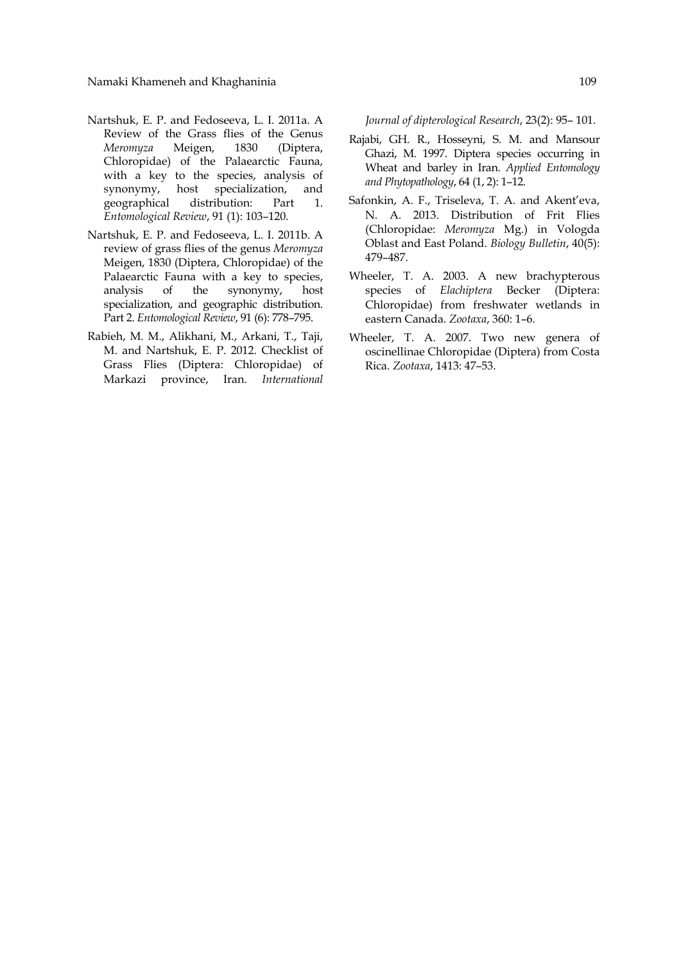- Nartshuk, E. P. and Fedoseeva, L. I. 2011a. A Review of the Grass flies of the Genus *Meromyza* Meigen, 1830 (Diptera, Chloropidae) of the Palaearctic Fauna, with a key to the species, analysis of synonymy, host specialization, and geographical distribution: Part 1. *Entomological Review*, 91 (1): 103–120.
- Nartshuk, E. P. and Fedoseeva, L. I. 2011b. A review of grass flies of the genus *Meromyza*  Meigen, 1830 (Diptera, Chloropidae) of the Palaearctic Fauna with a key to species, analysis of the synonymy, host specialization, and geographic distribution. Part 2. *Entomological Review*, 91 (6): 778–795.
- Rabieh, M. M., Alikhani, M., Arkani, T., Taji, M. and Nartshuk, E. P. 2012. Checklist of Grass Flies (Diptera: Chloropidae) of Markazi province, Iran. *International*

*Journal of dipterological Research*, 23(2): 95– 101.

- Rajabi, GH. R., Hosseyni, S. M. and Mansour Ghazi, M. 1997. Diptera species occurring in Wheat and barley in Iran. *Applied Entomology and Phytopathology*, 64 (1, 2): 1–12.
- Safonkin, A. F., Triseleva, T. A. and Akent'eva, N. A. 2013. Distribution of Frit Flies (Chloropidae: *Meromyza* Mg.) in Vologda Oblast and East Poland. *Biology Bulletin*, 40(5): 479–487.
- Wheeler, T. A. 2003. A new brachypterous species of *Elachiptera* Becker (Diptera: Chloropidae) from freshwater wetlands in eastern Canada. *Zootaxa*, 360: 1–6.
- Wheeler, T. A. 2007. Two new genera of oscinellinae Chloropidae (Diptera) from Costa Rica. *Zootaxa*, 1413: 47–53.